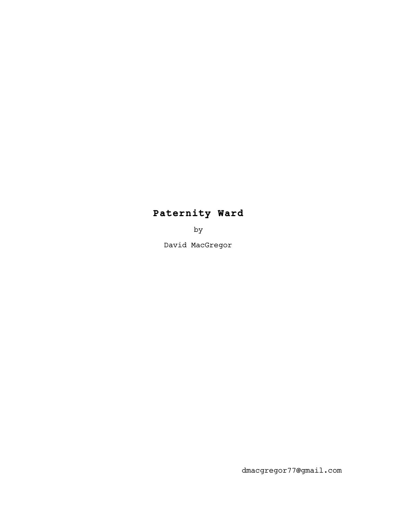# **Paternity Ward**

by

David MacGregor

dmacgregor77@gmail.com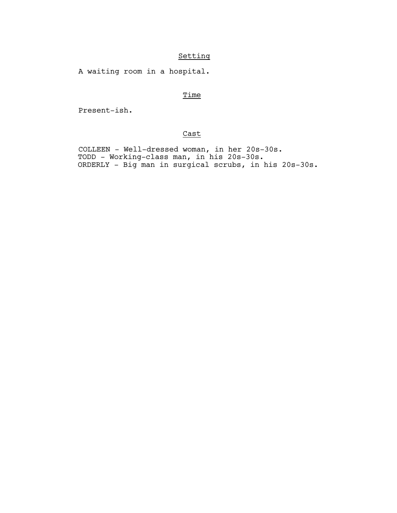# Setting

A waiting room in a hospital.

# **Time**

Present-ish.

# Cast

 COLLEEN - Well-dressed woman, in her 20s-30s. TODD - Working-class man, in his 20s-30s. ORDERLY - Big man in surgical scrubs, in his 20s-30s.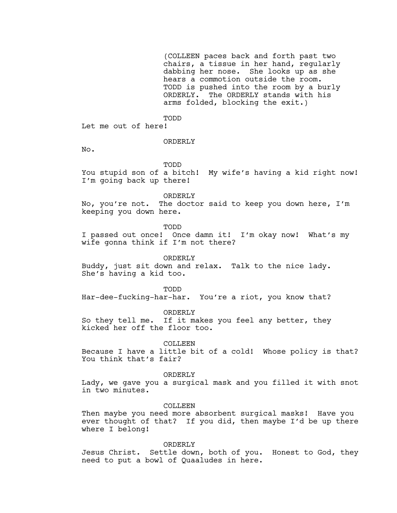(COLLEEN paces back and forth past two chairs, a tissue in her hand, regularly dabbing her nose. She looks up as she hears a commotion outside the room. TODD is pushed into the room by a burly ORDERLY. The ORDERLY stands with his arms folded, blocking the exit.)

TODD

Let me out of here!

# ORDERLY

No.

TODD

You stupid son of a bitch! My wife's having a kid right now! I'm going back up there!

ORDERLY

No, you're not. The doctor said to keep you down here, I'm keeping you down here.

TODD

I passed out once! Once damn it! I'm okay now! What's my wife gonna think if I'm not there?

ORDERLY

Buddy, just sit down and relax. Talk to the nice lady. She's having a kid too.

TODD

Har-dee-fucking-har-har. You're a riot, you know that?

ORDERLY So they tell me. If it makes you feel any better, they kicked her off the floor too.

**COLLEEN** 

Because I have a little bit of a cold! Whose policy is that? You think that's fair?

ORDERLY

Lady, we gave you a surgical mask and you filled it with snot in two minutes.

COLLEEN

Then maybe you need more absorbent surgical masks! Have you ever thought of that? If you did, then maybe I'd be up there where I belong!

ORDERLY

Jesus Christ. Settle down, both of you. Honest to God, they need to put a bowl of Quaaludes in here.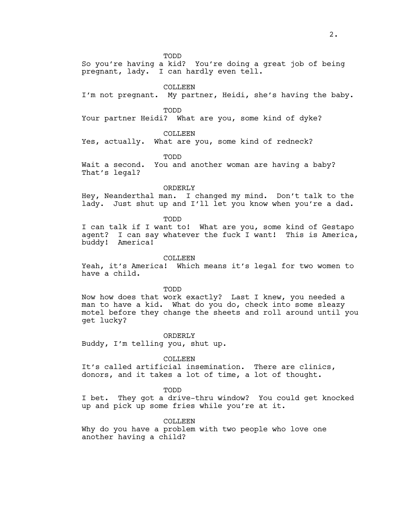So you're having a kid? You're doing a great job of being pregnant, lady. I can hardly even tell.

**COLLEEN** 

I'm not pregnant. My partner, Heidi, she's having the baby.

TODD

Your partner Heidi? What are you, some kind of dyke?

COLLEEN

Yes, actually. What are you, some kind of redneck?

TODD

Wait a second. You and another woman are having a baby? That's legal?

#### ORDERLY

Hey, Neanderthal man. I changed my mind. Don't talk to the lady. Just shut up and I'll let you know when you're a dad.

TODD

I can talk if I want to! What are you, some kind of Gestapo agent? I can say whatever the fuck I want! This is America, buddy! America!

COLLEEN

Yeah, it's America! Which means it's legal for two women to have a child.

TODD

Now how does that work exactly? Last I knew, you needed a man to have a kid. What do you do, check into some sleazy motel before they change the sheets and roll around until you get lucky?

ORDERLY

Buddy, I'm telling you, shut up.

COLLEEN

It's called artificial insemination. There are clinics, donors, and it takes a lot of time, a lot of thought.

TODD

I bet. They got a drive-thru window? You could get knocked up and pick up some fries while you're at it.

COLLEEN

Why do you have a problem with two people who love one another having a child?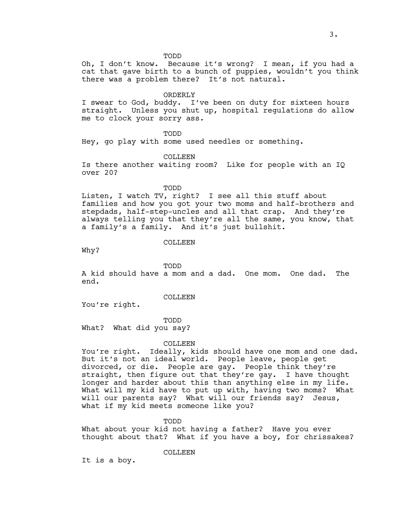Oh, I don't know. Because it's wrong? I mean, if you had a cat that gave birth to a bunch of puppies, wouldn't you think there was a problem there? It's not natural.

#### ORDERLY

I swear to God, buddy. I've been on duty for sixteen hours straight. Unless you shut up, hospital regulations do allow me to clock your sorry ass.

TODD

Hey, go play with some used needles or something.

# COLLEEN

Is there another waiting room? Like for people with an IQ over 20?

TODD

Listen, I watch TV, right? I see all this stuff about families and how you got your two moms and half-brothers and stepdads, half-step-uncles and all that crap. And they're always telling you that they're all the same, you know, that a family's a family. And it's just bullshit.

# COLLEEN

Why?

TODD

A kid should have a mom and a dad. One mom. One dad. The end.

#### COLLEEN

You're right.

#### TODD

What? What did you say?

#### COLLEEN

You're right. Ideally, kids should have one mom and one dad. But it's not an ideal world. People leave, people get divorced, or die. People are gay. People think they're straight, then figure out that they're gay. I have thought longer and harder about this than anything else in my life. What will my kid have to put up with, having two moms? What will our parents say? What will our friends say? Jesus, what if my kid meets someone like you?

TODD

What about your kid not having a father? Have you ever thought about that? What if you have a boy, for chrissakes?

COLLEEN

It is a boy.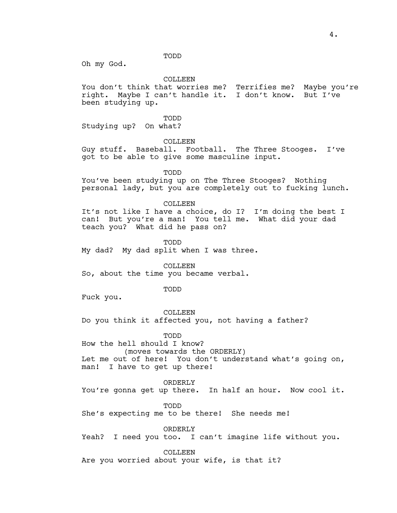Oh my God.

COLLEEN

You don't think that worries me? Terrifies me? Maybe you're right. Maybe I can't handle it. I don't know. But I've been studying up.

TODD Studying up? On what?

COLLEEN

Guy stuff. Baseball. Football. The Three Stooges. I've got to be able to give some masculine input.

TODD

You've been studying up on The Three Stooges? Nothing personal lady, but you are completely out to fucking lunch.

COLLEEN

It's not like I have a choice, do I? I'm doing the best I can! But you're a man! You tell me. What did your dad teach you? What did he pass on?

TODD My dad? My dad split when I was three.

COLLEEN So, about the time you became verbal.

TODD

Fuck you.

COLLEEN Do you think it affected you, not having a father?

TODD

How the hell should I know? (moves towards the ORDERLY) Let me out of here! You don't understand what's going on, man! I have to get up there!

ORDERLY

You're gonna get up there. In half an hour. Now cool it.

TODD

She's expecting me to be there! She needs me!

ORDERLY

Yeah? I need you too. I can't imagine life without you.

COLLEEN

Are you worried about your wife, is that it?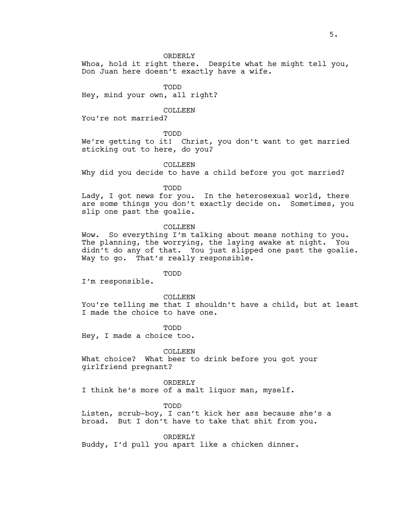#### ORDERLY

Whoa, hold it right there. Despite what he might tell you, Don Juan here doesn't exactly have a wife.

TODD

Hey, mind your own, all right?

## COLLEEN

You're not married?

TODD

We're getting to it! Christ, you don't want to get married sticking out to here, do you?

# COLLEEN

Why did you decide to have a child before you got married?

TODD

Lady, I got news for you. In the heterosexual world, there are some things you don't exactly decide on. Sometimes, you slip one past the goalie.

#### COLLEEN

Wow. So everything I'm talking about means nothing to you. The planning, the worrying, the laying awake at night. You didn't do any of that. You just slipped one past the goalie. Way to go. That's really responsible.

# TODD

I'm responsible.

COLLEEN

You're telling me that I shouldn't have a child, but at least I made the choice to have one.

TODD

Hey, I made a choice too.

#### COLLEEN

What choice? What beer to drink before you got your girlfriend pregnant?

#### ORDERLY

I think he's more of a malt liquor man, myself.

## TODD

Listen, scrub-boy, I can't kick her ass because she's a broad. But I don't have to take that shit from you.

ORDERLY

Buddy, I'd pull you apart like a chicken dinner.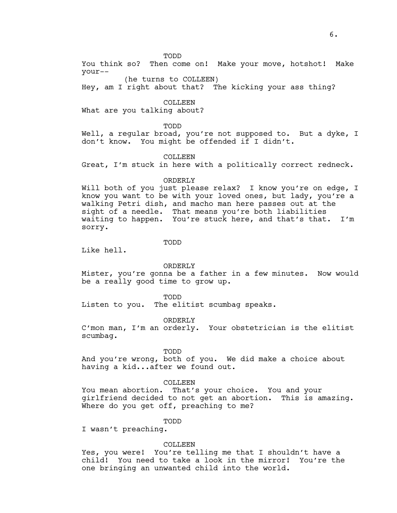You think so? Then come on! Make your move, hotshot! Make your--

(he turns to COLLEEN) Hey, am I right about that? The kicking your ass thing?

COLLEEN

What are you talking about?

TODD

Well, a regular broad, you're not supposed to. But a dyke, I don't know. You might be offended if I didn't.

COLLEEN

Great, I'm stuck in here with a politically correct redneck.

#### ORDERLY

Will both of you just please relax? I know you're on edge, I know you want to be with your loved ones, but lady, you're a walking Petri dish, and macho man here passes out at the sight of a needle. That means you're both liabilities waiting to happen. You're stuck here, and that's that. I'm sorry.

TODD

Like hell.

ORDERLY

Mister, you're gonna be a father in a few minutes. Now would be a really good time to grow up.

TODD

Listen to you. The elitist scumbag speaks.

ORDERLY

C'mon man, I'm an orderly. Your obstetrician is the elitist scumbag.

TODD

And you're wrong, both of you. We did make a choice about having a kid...after we found out.

COLLEEN

You mean abortion. That's your choice. You and your girlfriend decided to not get an abortion. This is amazing. Where do you get off, preaching to me?

TODD

I wasn't preaching.

COLLEEN

Yes, you were! You're telling me that I shouldn't have a child! You need to take a look in the mirror! You're the one bringing an unwanted child into the world.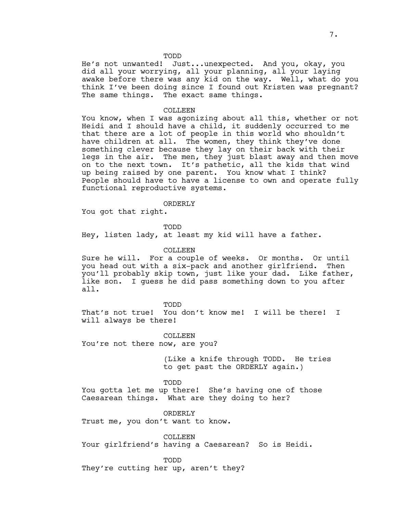He's not unwanted! Just...unexpected. And you, okay, you did all your worrying, all your planning, all your laying awake before there was any kid on the way. Well, what do you think I've been doing since I found out Kristen was pregnant? The same things. The exact same things.

#### COLLEEN

You know, when I was agonizing about all this, whether or not Heidi and I should have a child, it suddenly occurred to me that there are a lot of people in this world who shouldn't have children at all. The women, they think they've done something clever because they lay on their back with their legs in the air. The men, they just blast away and then move on to the next town. It's pathetic, all the kids that wind up being raised by one parent. You know what I think? People should have to have a license to own and operate fully functional reproductive systems.

ORDERLY

You got that right.

TODD Hey, listen lady, at least my kid will have a father.

## COLLEEN

Sure he will. For a couple of weeks. Or months. Or until you head out with a six-pack and another girlfriend. Then you'll probably skip town, just like your dad. Like father, like son. I guess he did pass something down to you after all.

TODD

That's not true! You don't know me! I will be there! I will always be there!

COLLEEN

You're not there now, are you?

(Like a knife through TODD. He tries to get past the ORDERLY again.)

TODD

You gotta let me up there! She's having one of those Caesarean things. What are they doing to her?

ORDERLY

Trust me, you don't want to know.

COLLEEN Your girlfriend's having a Caesarean? So is Heidi.

TODD

They're cutting her up, aren't they?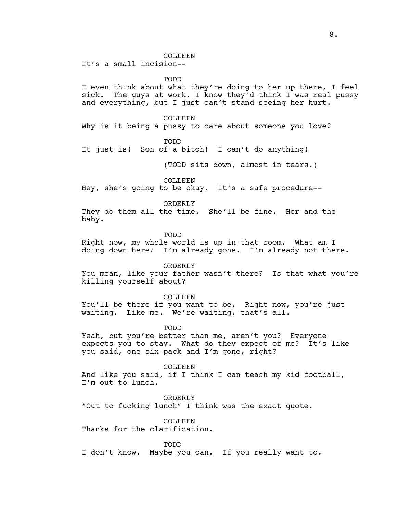COLLEEN

It's a small incision--

TODD

I even think about what they're doing to her up there, I feel sick. The guys at work, I know they'd think I was real pussy and everything, but I just can't stand seeing her hurt.

COLLEEN

Why is it being a pussy to care about someone you love?

TODD

It just is! Son of a bitch! I can't do anything!

(TODD sits down, almost in tears.)

**COLLEEN** 

Hey, she's going to be okay. It's a safe procedure--

ORDERLY

They do them all the time. She'll be fine. Her and the baby.

TODD

Right now, my whole world is up in that room. What am I doing down here? I'm already gone. I'm already not there.

ORDERLY

You mean, like your father wasn't there? Is that what you're killing yourself about?

COLLEEN

You'll be there if you want to be. Right now, you're just waiting. Like me. We're waiting, that's all.

TODD

Yeah, but you're better than me, aren't you? Everyone expects you to stay. What do they expect of me? It's like you said, one six-pack and I'm gone, right?

COLLEEN And like you said, if I think I can teach my kid football, I'm out to lunch.

ORDERLY "Out to fucking lunch" I think was the exact quote.

COLLEEN Thanks for the clarification.

TODD

I don't know. Maybe you can. If you really want to.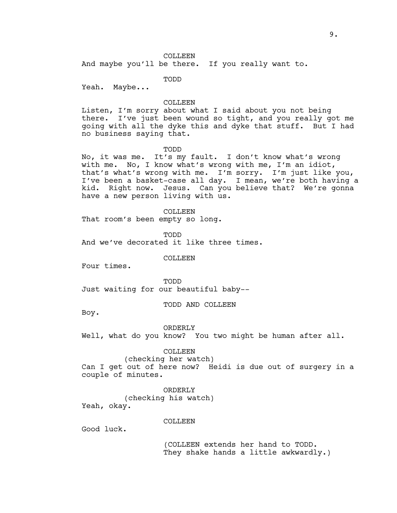#### COLLEEN

And maybe you'll be there. If you really want to.

TODD

Yeah. Maybe...

# COLLEEN

Listen, I'm sorry about what I said about you not being there. I've just been wound so tight, and you really got me going with all the dyke this and dyke that stuff. But I had no business saying that.

#### TODD

No, it was me. It's my fault. I don't know what's wrong with me. No, I know what's wrong with me, I'm an idiot, that's what's wrong with me. I'm sorry. I'm just like you, I've been a basket-case all day. I mean, we're both having a kid. Right now. Jesus. Can you believe that? We're gonna have a new person living with us.

# COLLEEN

That room's been empty so long.

TODD

And we've decorated it like three times.

**COLLEEN** 

Four times.

TODD

Just waiting for our beautiful baby--

TODD AND COLLEEN

Boy.

#### ORDERLY

Well, what do you know? You two might be human after all.

COLLEEN

(checking her watch)

Can I get out of here now? Heidi is due out of surgery in a couple of minutes.

ORDERLY

(checking his watch) Yeah, okay.

# COLLEEN

Good luck.

(COLLEEN extends her hand to TODD. They shake hands a little awkwardly.)